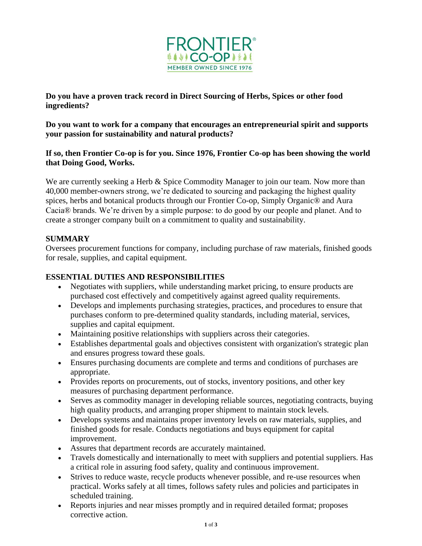

**Do you have a proven track record in Direct Sourcing of Herbs, Spices or other food ingredients?**

**Do you want to work for a company that encourages an entrepreneurial spirit and supports your passion for sustainability and natural products?**

#### **If so, then Frontier Co-op is for you. Since 1976, Frontier Co-op has been showing the world that Doing Good, Works.**

We are currently seeking a Herb & Spice Commodity Manager to join our team. Now more than 40,000 member-owners strong, we're dedicated to sourcing and packaging the highest quality spices, herbs and botanical products through our Frontier Co-op, Simply Organic® and Aura Cacia® brands. We're driven by a simple purpose: to do good by our people and planet. And to create a stronger company built on a commitment to quality and sustainability.

#### **SUMMARY**

Oversees procurement functions for company, including purchase of raw materials, finished goods for resale, supplies, and capital equipment.

#### **ESSENTIAL DUTIES AND RESPONSIBILITIES**

- Negotiates with suppliers, while understanding market pricing, to ensure products are purchased cost effectively and competitively against agreed quality requirements.
- Develops and implements purchasing strategies, practices, and procedures to ensure that purchases conform to pre-determined quality standards, including material, services, supplies and capital equipment.
- Maintaining positive relationships with suppliers across their categories.
- Establishes departmental goals and objectives consistent with organization's strategic plan and ensures progress toward these goals.
- Ensures purchasing documents are complete and terms and conditions of purchases are appropriate.
- Provides reports on procurements, out of stocks, inventory positions, and other key measures of purchasing department performance.
- Serves as commodity manager in developing reliable sources, negotiating contracts, buying high quality products, and arranging proper shipment to maintain stock levels.
- Develops systems and maintains proper inventory levels on raw materials, supplies, and finished goods for resale. Conducts negotiations and buys equipment for capital improvement.
- Assures that department records are accurately maintained.
- Travels domestically and internationally to meet with suppliers and potential suppliers. Has a critical role in assuring food safety, quality and continuous improvement.
- Strives to reduce waste, recycle products whenever possible, and re-use resources when practical. Works safely at all times, follows safety rules and policies and participates in scheduled training.
- Reports injuries and near misses promptly and in required detailed format; proposes corrective action.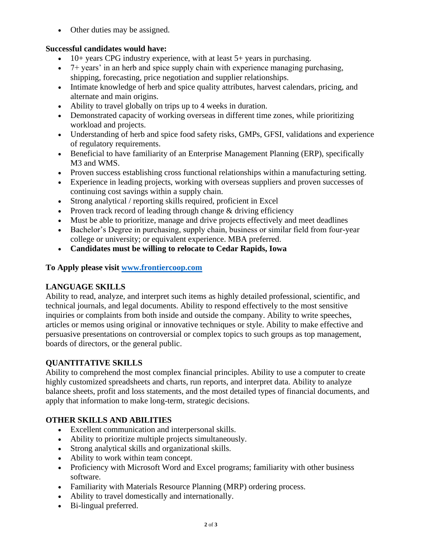• Other duties may be assigned.

### **Successful candidates would have:**

- 10+ years CPG industry experience, with at least  $5+$  years in purchasing.
- 7+ years' in an herb and spice supply chain with experience managing purchasing, shipping, forecasting, price negotiation and supplier relationships.
- Intimate knowledge of herb and spice quality attributes, harvest calendars, pricing, and alternate and main origins.
- Ability to travel globally on trips up to 4 weeks in duration.
- Demonstrated capacity of working overseas in different time zones, while prioritizing workload and projects.
- Understanding of herb and spice food safety risks, GMPs, GFSI, validations and experience of regulatory requirements.
- Beneficial to have familiarity of an Enterprise Management Planning (ERP), specifically M3 and WMS.
- Proven success establishing cross functional relationships within a manufacturing setting.
- Experience in leading projects, working with overseas suppliers and proven successes of continuing cost savings within a supply chain.
- Strong analytical / reporting skills required, proficient in Excel
- Proven track record of leading through change & driving efficiency
- Must be able to prioritize, manage and drive projects effectively and meet deadlines
- Bachelor's Degree in purchasing, supply chain, business or similar field from four-year college or university; or equivalent experience. MBA preferred.
- **Candidates must be willing to relocate to Cedar Rapids, Iowa**

# **To Apply please visit [www.frontiercoop.com](http://www.frontiercoop.com/)**

# **LANGUAGE SKILLS**

Ability to read, analyze, and interpret such items as highly detailed professional, scientific, and technical journals, and legal documents. Ability to respond effectively to the most sensitive inquiries or complaints from both inside and outside the company. Ability to write speeches, articles or memos using original or innovative techniques or style. Ability to make effective and persuasive presentations on controversial or complex topics to such groups as top management, boards of directors, or the general public.

# **QUANTITATIVE SKILLS**

Ability to comprehend the most complex financial principles. Ability to use a computer to create highly customized spreadsheets and charts, run reports, and interpret data. Ability to analyze balance sheets, profit and loss statements, and the most detailed types of financial documents, and apply that information to make long-term, strategic decisions.

# **OTHER SKILLS AND ABILITIES**

- Excellent communication and interpersonal skills.
- Ability to prioritize multiple projects simultaneously.
- Strong analytical skills and organizational skills.
- Ability to work within team concept.
- Proficiency with Microsoft Word and Excel programs; familiarity with other business software.
- Familiarity with Materials Resource Planning (MRP) ordering process.
- Ability to travel domestically and internationally.
- Bi-lingual preferred.